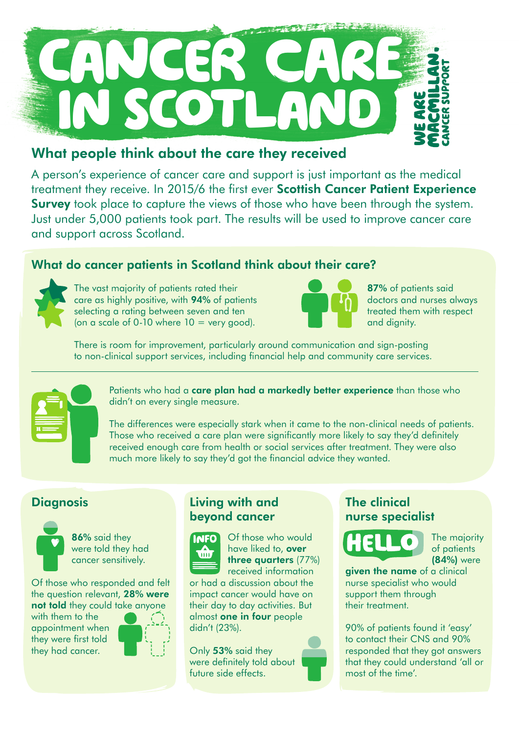

# What people think about the care they received

A person's experience of cancer care and support is just important as the medical treatment they receive. In 2015/6 the first ever Scottish Cancer Patient Experience **Survey** took place to capture the views of those who have been through the system. Just under 5,000 patients took part. The results will be used to improve cancer care and support across Scotland.

# What do cancer patients in Scotland think about their care?



The vast majority of patients rated their care as highly positive, with 94% of patients selecting a rating between seven and ten (on a scale of  $0-10$  where  $10 =$  very good).



87% of patients said doctors and nurses always treated them with respect and dignity.

There is room for improvement, particularly around communication and sign-posting to non-clinical support services, including financial help and community care services.



Patients who had a **care plan had a markedly better experience** than those who didn't on every single measure.

The differences were especially stark when it came to the non-clinical needs of patients. Those who received a care plan were significantly more likely to say they'd definitely received enough care from health or social services after treatment. They were also much more likely to say they'd got the financial advice they wanted.



86% said they were told they had cancer sensitively.

Of those who responded and felt the question relevant, 28% were not told they could take anyone

with them to the appointment when they were first told they had cancer.



## Diagnosis Living with and beyond cancer



Of those who would have liked to, over three quarters (77%) received information

or had a discussion about the impact cancer would have on their day to day activities. But almost one in four people didn't (23%).

Only 53% said they were definitely told about future side effects.

### The clinical nurse specialist



The majority of patients (84%) were

aiven the name of a clinical nurse specialist who would support them through their treatment.

90% of patients found it 'easy' to contact their CNS and 90% responded that they got answers that they could understand 'all or most of the time'.